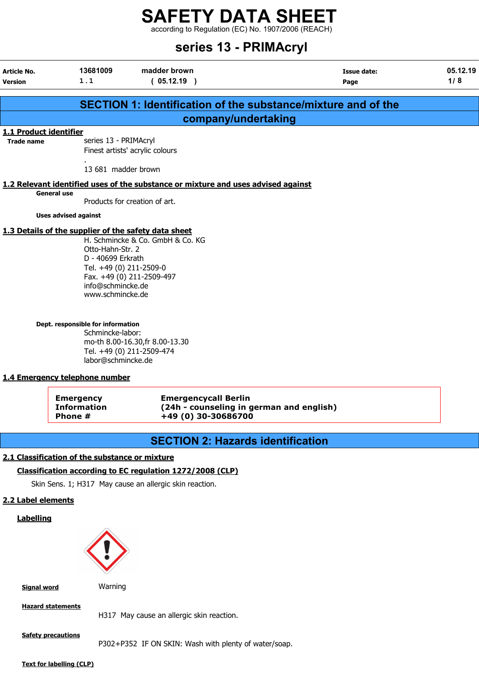according to Regulation (EC) No. 1907/2006 (REACH)

# series 13 - PRIMAcryl

| <b>Article No.</b><br><b>Version</b>        | 13681009<br>1.1                                                                                                                                                                                                                                  | madder brown<br>(05.12.19)                                                                                                    | <b>Issue date:</b><br>Page                                           | 05.12.19<br>1/8 |
|---------------------------------------------|--------------------------------------------------------------------------------------------------------------------------------------------------------------------------------------------------------------------------------------------------|-------------------------------------------------------------------------------------------------------------------------------|----------------------------------------------------------------------|-----------------|
|                                             |                                                                                                                                                                                                                                                  |                                                                                                                               | <b>SECTION 1: Identification of the substance/mixture and of the</b> |                 |
|                                             |                                                                                                                                                                                                                                                  | company/undertaking                                                                                                           |                                                                      |                 |
| 1.1 Product identifier<br><b>Trade name</b> | series 13 - PRIMAcryl                                                                                                                                                                                                                            | Finest artists' acrylic colours                                                                                               |                                                                      |                 |
|                                             | 13 681 madder brown                                                                                                                                                                                                                              |                                                                                                                               |                                                                      |                 |
|                                             |                                                                                                                                                                                                                                                  | 1.2 Relevant identified uses of the substance or mixture and uses advised against                                             |                                                                      |                 |
|                                             | <b>General use</b>                                                                                                                                                                                                                               | Products for creation of art.                                                                                                 |                                                                      |                 |
|                                             | <b>Uses advised against</b>                                                                                                                                                                                                                      |                                                                                                                               |                                                                      |                 |
|                                             | 1.3 Details of the supplier of the safety data sheet<br>Otto-Hahn-Str. 2<br>D - 40699 Erkrath<br>Tel. +49 (0) 211-2509-0<br>info@schmincke.de<br>www.schmincke.de<br>Dept. responsible for information<br>Schmincke-labor:<br>labor@schmincke.de | H. Schmincke & Co. GmbH & Co. KG<br>Fax. +49 (0) 211-2509-497<br>mo-th 8.00-16.30, fr 8.00-13.30<br>Tel. +49 (0) 211-2509-474 |                                                                      |                 |
|                                             | 1.4 Emergency telephone number<br><b>Emergency</b>                                                                                                                                                                                               | <b>Emergencycall Berlin</b>                                                                                                   |                                                                      |                 |
|                                             | <b>Information</b><br>Phone #                                                                                                                                                                                                                    | +49 (0) 30-30686700                                                                                                           | (24h - counseling in german and english)                             |                 |
|                                             |                                                                                                                                                                                                                                                  | <b>SECTION 2: Hazards identification</b>                                                                                      |                                                                      |                 |
|                                             | 2.1 Classification of the substance or mixture                                                                                                                                                                                                   |                                                                                                                               |                                                                      |                 |
|                                             |                                                                                                                                                                                                                                                  |                                                                                                                               |                                                                      |                 |
|                                             |                                                                                                                                                                                                                                                  | Classification according to EC regulation 1272/2008 (CLP)                                                                     |                                                                      |                 |
| 2.2 Label elements                          |                                                                                                                                                                                                                                                  | Skin Sens. 1; H317 May cause an allergic skin reaction.                                                                       |                                                                      |                 |
| <b>Labelling</b>                            |                                                                                                                                                                                                                                                  |                                                                                                                               |                                                                      |                 |
|                                             |                                                                                                                                                                                                                                                  |                                                                                                                               |                                                                      |                 |
| <b>Signal word</b>                          | Warning                                                                                                                                                                                                                                          |                                                                                                                               |                                                                      |                 |
|                                             | <b>Hazard statements</b>                                                                                                                                                                                                                         | H317 May cause an allergic skin reaction.                                                                                     |                                                                      |                 |
|                                             | <b>Safety precautions</b>                                                                                                                                                                                                                        | P302+P352 IF ON SKIN: Wash with plenty of water/soap.                                                                         |                                                                      |                 |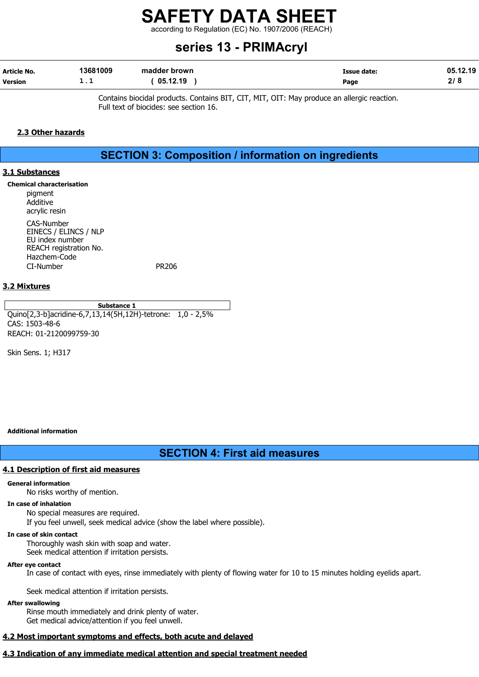according to Regulation (EC) No. 1907/2006 (REACH)

# series 13 - PRIMAcryl

| Article No.    | 13681009 | madder brown | <b>Issue date:</b> | 05.12.19  |
|----------------|----------|--------------|--------------------|-----------|
| <b>Version</b> | <b>.</b> | 05.12.19     | Page               | 218<br>41 |

Contains biocidal products. Contains BIT, CIT, MIT, OIT: May produce an allergic reaction. Full text of biocides: see section 16.

#### 2.3 Other hazards

# SECTION 3: Composition / information on ingredients

#### 3.1 Substances

Chemical characterisation pigment Additive acrylic resin CAS-Number EINECS / ELINCS / NLP EU index number REACH registration No. Hazchem-Code CI-Number PR206

#### 3.2 Mixtures

Substance 1 Quino[2,3-b]acridine-6,7,13,14(5H,12H)-tetrone: 1,0 - 2,5% CAS: 1503-48-6 REACH: 01-2120099759-30

Skin Sens. 1; H317

#### Additional information

# SECTION 4: First aid measures

#### 4.1 Description of first aid measures

#### General information

No risks worthy of mention.

#### In case of inhalation

No special measures are required.

If you feel unwell, seek medical advice (show the label where possible).

#### In case of skin contact

Thoroughly wash skin with soap and water. Seek medical attention if irritation persists.

#### After eye contact

In case of contact with eyes, rinse immediately with plenty of flowing water for 10 to 15 minutes holding eyelids apart.

Seek medical attention if irritation persists.

#### After swallowing

Rinse mouth immediately and drink plenty of water. Get medical advice/attention if you feel unwell.

#### 4.2 Most important symptoms and effects, both acute and delayed

#### 4.3 Indication of any immediate medical attention and special treatment needed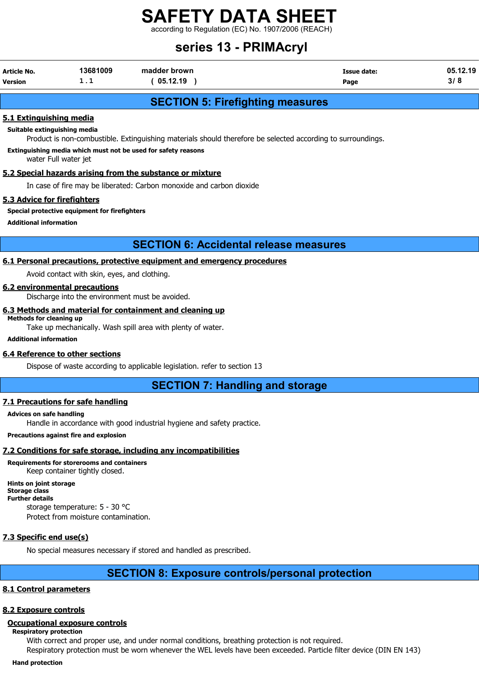according to Regulation (EC) No. 1907/2006 (REACH)

# series 13 - PRIMAcryl

| Article No.    | 13681009 | madder brown | <b>Issue date:</b> | 05.12.19 |
|----------------|----------|--------------|--------------------|----------|
| <b>Version</b> | .        | 05.12.19     | Page               |          |

# SECTION 5: Firefighting measures

#### 5.1 Extinguishing media

Suitable extinguishing media

Product is non-combustible. Extinguishing materials should therefore be selected according to surroundings.

Extinguishing media which must not be used for safety reasons

water Full water jet

#### 5.2 Special hazards arising from the substance or mixture

In case of fire may be liberated: Carbon monoxide and carbon dioxide

#### 5.3 Advice for firefighters

#### Special protective equipment for firefighters

Additional information

## SECTION 6: Accidental release measures

### 6.1 Personal precautions, protective equipment and emergency procedures

Avoid contact with skin, eyes, and clothing.

#### 6.2 environmental precautions

Discharge into the environment must be avoided.

#### 6.3 Methods and material for containment and cleaning up Methods for cleaning up

Take up mechanically. Wash spill area with plenty of water.

Additional information

#### 6.4 Reference to other sections

Dispose of waste according to applicable legislation. refer to section 13

# SECTION 7: Handling and storage

#### 7.1 Precautions for safe handling

#### Advices on safe handling

Handle in accordance with good industrial hygiene and safety practice.

#### Precautions against fire and explosion

## 7.2 Conditions for safe storage, including any incompatibilities

Requirements for storerooms and containers

Keep container tightly closed. Hints on joint storage

Storage class Further details storage temperature: 5 - 30 °C

Protect from moisture contamination.

# 7.3 Specific end use(s)

No special measures necessary if stored and handled as prescribed.

# SECTION 8: Exposure controls/personal protection

## 8.1 Control parameters

## 8.2 Exposure controls

## Occupational exposure controls

Respiratory protection

With correct and proper use, and under normal conditions, breathing protection is not required.

Respiratory protection must be worn whenever the WEL levels have been exceeded. Particle filter device (DIN EN 143)

Hand protection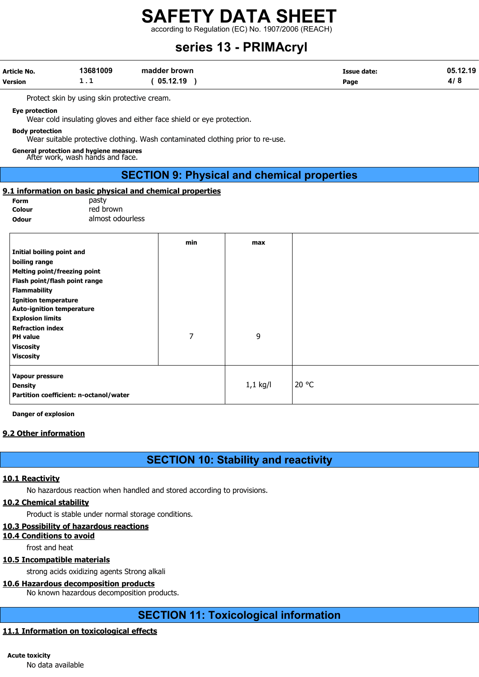according to Regulation (EC) No. 1907/2006 (REACH)

# series 13 - PRIMAcryl

| Article No.<br><b>Version</b>                                                              | 13681009<br>1.1                                                             | madder brown<br>(05.12.19)                                                     |            | <b>Issue date:</b><br>Page | 05.12.19<br>4/8 |
|--------------------------------------------------------------------------------------------|-----------------------------------------------------------------------------|--------------------------------------------------------------------------------|------------|----------------------------|-----------------|
|                                                                                            | Protect skin by using skin protective cream.                                |                                                                                |            |                            |                 |
| <b>Eye protection</b>                                                                      |                                                                             | Wear cold insulating gloves and either face shield or eye protection.          |            |                            |                 |
| <b>Body protection</b>                                                                     |                                                                             | Wear suitable protective clothing. Wash contaminated clothing prior to re-use. |            |                            |                 |
|                                                                                            | General protection and hygiene measures<br>After work, wash hands and face. |                                                                                |            |                            |                 |
|                                                                                            |                                                                             | <b>SECTION 9: Physical and chemical properties</b>                             |            |                            |                 |
| Form<br>Colour<br><b>Odour</b>                                                             | pasty<br>red brown<br>almost odourless                                      | 9.1 information on basic physical and chemical properties                      |            |                            |                 |
| Initial boiling point and                                                                  |                                                                             | min                                                                            | max        |                            |                 |
| boiling range<br><b>Melting point/freezing point</b>                                       |                                                                             |                                                                                |            |                            |                 |
| Flash point/flash point range<br><b>Flammability</b>                                       |                                                                             |                                                                                |            |                            |                 |
| <b>Ignition temperature</b><br><b>Auto-ignition temperature</b><br><b>Explosion limits</b> |                                                                             |                                                                                |            |                            |                 |
| <b>Refraction index</b>                                                                    |                                                                             | 7                                                                              | 9          |                            |                 |
| <b>PH</b> value<br><b>Viscosity</b><br><b>Viscosity</b>                                    |                                                                             |                                                                                |            |                            |                 |
| Vapour pressure                                                                            |                                                                             |                                                                                |            |                            |                 |
| <b>Density</b>                                                                             | Partition coefficient: n-octanol/water                                      |                                                                                | $1,1$ kg/l | 20 °C                      |                 |

Danger of explosion

#### 9.2 Other information

# SECTION 10: Stability and reactivity

#### 10.1 Reactivity

No hazardous reaction when handled and stored according to provisions.

#### 10.2 Chemical stability

Product is stable under normal storage conditions.

#### 10.3 Possibility of hazardous reactions

10.4 Conditions to avoid

frost and heat

#### 10.5 Incompatible materials

strong acids oxidizing agents Strong alkali

#### 10.6 Hazardous decomposition products

No known hazardous decomposition products.

# SECTION 11: Toxicological information

#### 11.1 Information on toxicological effects

#### Acute toxicity

No data available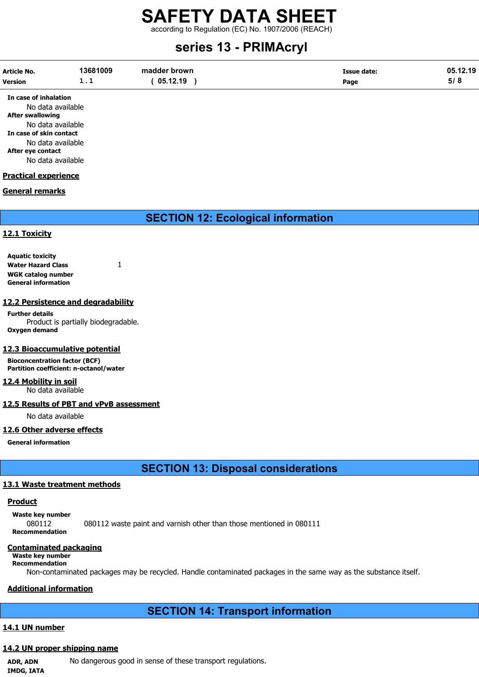according to Regulation (EC) No. 1907/2006 (REACH)

# series 13 - PRIMAcryl

| Article No.    | 13681009 | madder brown | Issue date: | 05.12.19 |
|----------------|----------|--------------|-------------|----------|
| <b>Version</b> |          | 05.12.19     | Page        |          |

In case of inhalation No data available After swallowing No data available In case of skin contact No data available After eye contact No data available

#### Practical experience

#### General remarks

# SECTION 12: Ecological information

#### 12.1 Toxicity

Aquatic toxicity Water Hazard Class 1 WGK catalog number General information

#### 12.2 Persistence and degradability

Further details Product is partially biodegradable. Oxygen demand

#### 12.3 Bioaccumulative potential

Bioconcentration factor (BCF) Partition coefficient: n-octanol/water

#### 12.4 Mobility in soil

No data available

## 12.5 Results of PBT and vPvB assessment

No data available

## 12.6 Other adverse effects

General information

SECTION 13: Disposal considerations

## 13.1 Waste treatment methods

## **Product**

Waste key number 080112 080112 waste paint and varnish other than those mentioned in 080111 Recommendation

## Contaminated packaging

Waste key number Recommendation

Non-contaminated packages may be recycled. Handle contaminated packages in the same way as the substance itself.

# Additional information

# SECTION 14: Transport information

# 14.1 UN number

# 14.2 UN proper shipping name

ADR, ADN No dangerous good in sense of these transport regulations. IMDG, IATA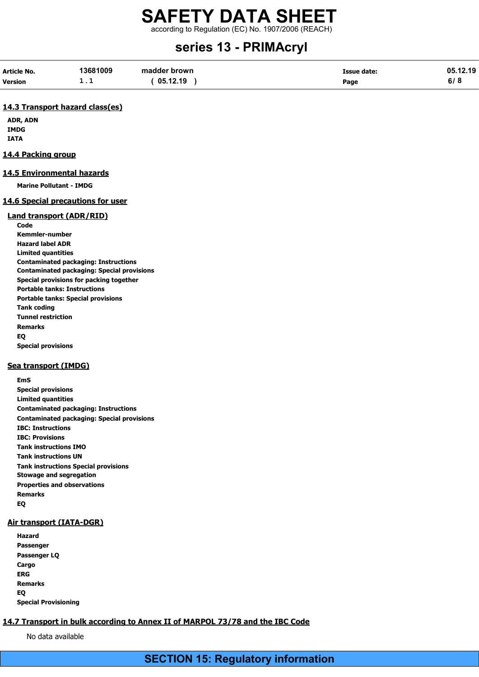according to Regulation (EC) No. 1907/2006 (REACH)

# series 13 - PRIMAcryl

| Article No. | 13681009 | madder brown | <b>Issue date:</b> | 05.12.19 |
|-------------|----------|--------------|--------------------|----------|
| Version     | .        | 05.12.19     | Page               | ס וס     |

#### 14.3 Transport hazard class(es)

ADR, ADN IMDG IATA

#### 14.4 Packing group

#### 14.5 Environmental hazards

Marine Pollutant - IMDG

#### 14.6 Special precautions for user

#### Land transport (ADR/RID)

**Code** Kemmler-number Hazard label ADR Limited quantities Contaminated packaging: Instructions Contaminated packaging: Special provisions Special provisions for packing together Portable tanks: Instructions Portable tanks: Special provisions Tank coding Tunnel restriction Remarks EQ Special provisions

#### Sea transport (IMDG)

EmS Special provisions Limited quantities Contaminated packaging: Instructions Contaminated packaging: Special provisions IBC: Instructions IBC: Provisions Tank instructions IMO Tank instructions UN Tank instructions Special provisions Stowage and segregation Properties and observations Remarks EQ

#### Air transport (IATA-DGR)

Hazard Passenger Passenger LQ Cargo ERG Remarks EQ Special Provisioning

# 14.7 Transport in bulk according to Annex II of MARPOL 73/78 and the IBC Code

No data available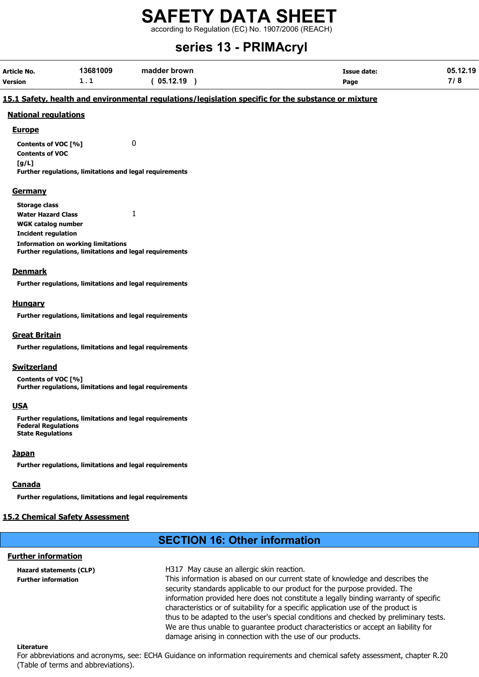according to Regulation (EC) No. 1907/2006 (REACH)

# series 13 - PRIMAcryl

| Article No. | 13681009 | madder brown | Issue date: | 05.12.19   |
|-------------|----------|--------------|-------------|------------|
| Version     | - - -    | 05.12.19     | Page        | 710<br>. о |

#### 15.1 Safety, health and environmental regulations/legislation specific for the substance or mixture

#### National regulations

#### **Europe**

Contents of VOC [%] 0 Contents of VOC [g/L]

Further regulations, limitations and legal requirements

#### Germany

| Storage class                                                  |  |
|----------------------------------------------------------------|--|
| <b>Water Hazard Class</b>                                      |  |
| WGK catalog number                                             |  |
| Incident regulation                                            |  |
| <b>Information on working limitations</b>                      |  |
| <b>Further regulations, limitations and legal requirements</b> |  |

#### Denmark

Further regulations, limitations and legal requirements

#### **Hungary**

Further regulations, limitations and legal requirements

#### Great Britain

Further regulations, limitations and legal requirements

#### Switzerland

Contents of VOC [%] Further regulations, limitations and legal requirements

#### USA

Further regulations, limitations and legal requirements Federal Regulations State Regulations

#### **Japan**

Further regulations, limitations and legal requirements

## Canada

Further regulations, limitations and legal requirements

## 15.2 Chemical Safety Assessment

# SECTION 16: Other information

## Further information

Hazard statements (CLP) H317 May cause an allergic skin reaction.

Further information This information is abased on our current state of knowledge and describes the security standards applicable to our product for the purpose provided. The information provided here does not constitute a legally binding warranty of specific characteristics or of suitability for a specific application use of the product is thus to be adapted to the user's special conditions and checked by preliminary tests. We are thus unable to guarantee product characteristics or accept an liability for damage arising in connection with the use of our products.

#### Literature

For abbreviations and acronyms, see: ECHA Guidance on information requirements and chemical safety assessment, chapter R.20 (Table of terms and abbreviations).